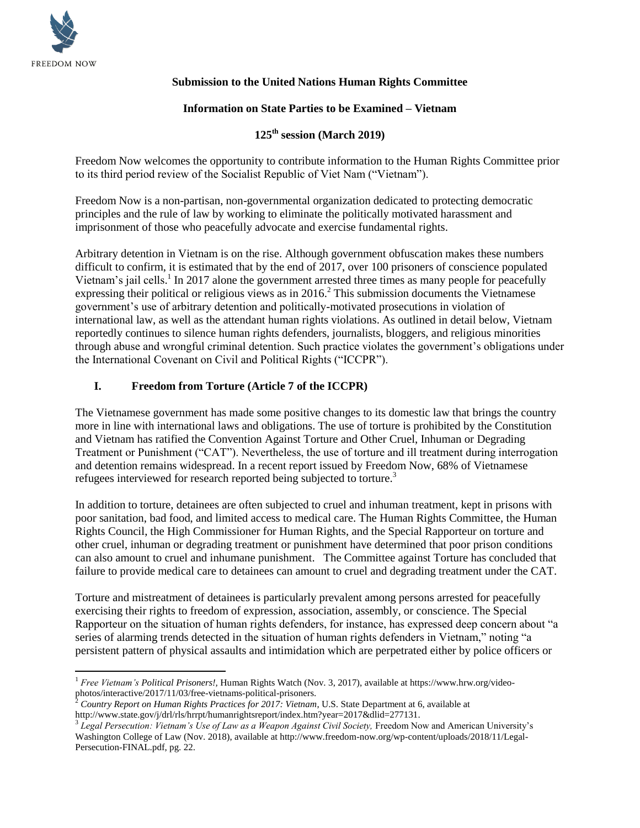

## **Submission to the United Nations Human Rights Committee**

#### **Information on State Parties to be Examined – Vietnam**

# **125th session (March 2019)**

Freedom Now welcomes the opportunity to contribute information to the Human Rights Committee prior to its third period review of the Socialist Republic of Viet Nam ("Vietnam").

Freedom Now is a non-partisan, non-governmental organization dedicated to protecting democratic principles and the rule of law by working to eliminate the politically motivated harassment and imprisonment of those who peacefully advocate and exercise fundamental rights.

Arbitrary detention in Vietnam is on the rise. Although government obfuscation makes these numbers difficult to confirm, it is estimated that by the end of 2017, over 100 prisoners of conscience populated Vietnam's jail cells.<sup>1</sup> In 2017 alone the government arrested three times as many people for peacefully expressing their political or religious views as in  $2016<sup>2</sup>$ . This submission documents the Vietnamese government's use of arbitrary detention and politically-motivated prosecutions in violation of international law, as well as the attendant human rights violations. As outlined in detail below, Vietnam reportedly continues to silence human rights defenders, journalists, bloggers, and religious minorities through abuse and wrongful criminal detention. Such practice violates the government's obligations under the International Covenant on Civil and Political Rights ("ICCPR").

## <span id="page-0-0"></span>**I. Freedom from Torture (Article 7 of the ICCPR)**

The Vietnamese government has made some positive changes to its domestic law that brings the country more in line with international laws and obligations. The use of torture is prohibited by the Constitution and Vietnam has ratified the Convention Against Torture and Other Cruel, Inhuman or Degrading Treatment or Punishment ("CAT"). Nevertheless, the use of torture and ill treatment during interrogation and detention remains widespread. In a recent report issued by Freedom Now, 68% of Vietnamese refugees interviewed for research reported being subjected to torture.<sup>3</sup>

In addition to torture, detainees are often subjected to cruel and inhuman treatment, kept in prisons with poor sanitation, bad food, and limited access to medical care. The Human Rights Committee, the Human Rights Council, the High Commissioner for Human Rights, and the Special Rapporteur on torture and other cruel, inhuman or degrading treatment or punishment have determined that poor prison conditions can also amount to cruel and inhumane punishment. The Committee against Torture has concluded that failure to provide medical care to detainees can amount to cruel and degrading treatment under the CAT.

Torture and mistreatment of detainees is particularly prevalent among persons arrested for peacefully exercising their rights to freedom of expression, association, assembly, or conscience. The Special Rapporteur on the situation of human rights defenders, for instance, has expressed deep concern about "a series of alarming trends detected in the situation of human rights defenders in Vietnam," noting "a persistent pattern of physical assaults and intimidation which are perpetrated either by police officers or

 $\overline{a}$ <sup>1</sup> *Free Vietnam's Political Prisoners!,* Human Rights Watch (Nov. 3, 2017), available at https://www.hrw.org/videophotos/interactive/2017/11/03/free-vietnams-political-prisoners.

<sup>2</sup> *Country Report on Human Rights Practices for 2017: Vietnam*, U.S. State Department at 6, available at http://www.state.gov/j/drl/rls/hrrpt/humanrightsreport/index.htm?year=2017&dlid=277131.

<sup>&</sup>lt;sup>3</sup> Legal Persecution: Vietnam's Use of Law as a Weapon Against Civil Society, Freedom Now and American University's Washington College of Law (Nov. 2018), available at http://www.freedom-now.org/wp-content/uploads/2018/11/Legal-Persecution-FINAL.pdf, pg. 22.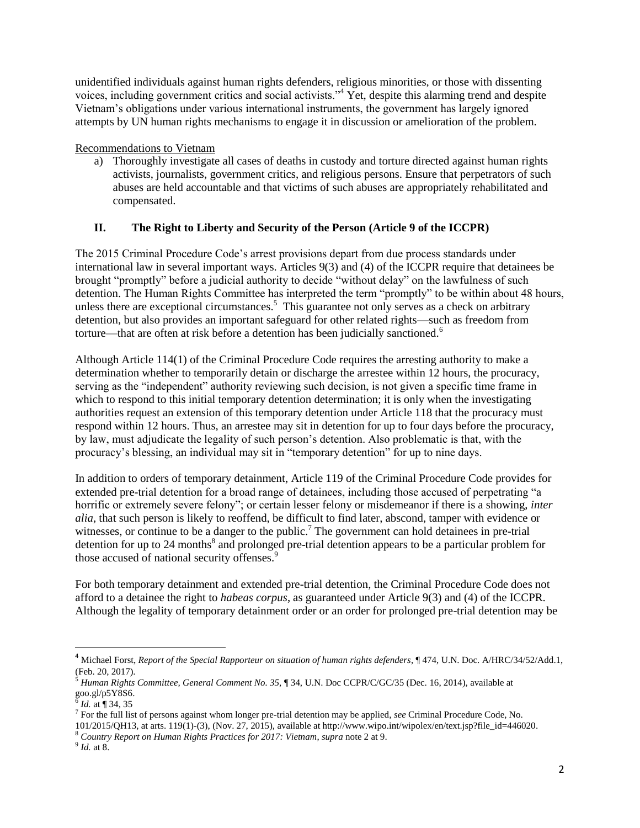unidentified individuals against human rights defenders, religious minorities, or those with dissenting voices, including government critics and social activists."<sup>4</sup> Yet, despite this alarming trend and despite Vietnam's obligations under various international instruments, the government has largely ignored attempts by UN human rights mechanisms to engage it in discussion or amelioration of the problem.

## Recommendations to Vietnam

a) Thoroughly investigate all cases of deaths in custody and torture directed against human rights activists, journalists, government critics, and religious persons. Ensure that perpetrators of such abuses are held accountable and that victims of such abuses are appropriately rehabilitated and compensated.

# **II. The Right to Liberty and Security of the Person (Article 9 of the ICCPR)**

The 2015 Criminal Procedure Code's arrest provisions depart from due process standards under international law in several important ways. Articles 9(3) and (4) of the ICCPR require that detainees be brought "promptly" before a judicial authority to decide "without delay" on the lawfulness of such detention. The Human Rights Committee has interpreted the term "promptly" to be within about 48 hours, unless there are exceptional circumstances.<sup>5</sup> This guarantee not only serves as a check on arbitrary detention, but also provides an important safeguard for other related rights—such as freedom from torture—that are often at risk before a detention has been judicially sanctioned.<sup>6</sup>

Although Article 114(1) of the Criminal Procedure Code requires the arresting authority to make a determination whether to temporarily detain or discharge the arrestee within 12 hours, the procuracy, serving as the "independent" authority reviewing such decision, is not given a specific time frame in which to respond to this initial temporary detention determination; it is only when the investigating authorities request an extension of this temporary detention under Article 118 that the procuracy must respond within 12 hours. Thus, an arrestee may sit in detention for up to four days before the procuracy, by law, must adjudicate the legality of such person's detention. Also problematic is that, with the procuracy's blessing, an individual may sit in "temporary detention" for up to nine days.

In addition to orders of temporary detainment, Article 119 of the Criminal Procedure Code provides for extended pre-trial detention for a broad range of detainees, including those accused of perpetrating "a horrific or extremely severe felony"; or certain lesser felony or misdemeanor if there is a showing, *inter alia*, that such person is likely to reoffend, be difficult to find later, abscond, tamper with evidence or witnesses, or continue to be a danger to the public.<sup>7</sup> The government can hold detainees in pre-trial detention for up to 24 months<sup>8</sup> and prolonged pre-trial detention appears to be a particular problem for those accused of national security offenses.<sup>9</sup>

For both temporary detainment and extended pre-trial detention, the Criminal Procedure Code does not afford to a detainee the right to *habeas corpus*, as guaranteed under Article 9(3) and (4) of the ICCPR. Although the legality of temporary detainment order or an order for prolonged pre-trial detention may be

<sup>8</sup> *Country Report on Human Rights Practices for 2017: Vietnam*, *supra* note 2 at 9.

 $\overline{\phantom{a}}$ 

<sup>4</sup> Michael Forst, *Report of the Special Rapporteur on situation of human rights defenders*, ¶ 474, U.N. Doc. A/HRC/34/52/Add.1, (Feb. 20, 2017).

<sup>&</sup>lt;sup>5</sup> Human Rights Committee, General Comment No. 35, ¶ 34, U.N. Doc CCPR/C/GC/35 (Dec. 16, 2014), available at goo.gl/p5Y8S6. 6 *Id.* at ¶ 34, 35

<sup>7</sup> For the full list of persons against whom longer pre-trial detention may be applied, *see* Criminal Procedure Code, No.

<sup>101/2015/</sup>QH13*,* at arts. 119(1)-(3), (Nov. 27, 2015), available at http://www.wipo.int/wipolex/en/text.jsp?file\_id=446020.

<sup>9</sup> *[Id.](https://www.state.gov/documents/organization/265598.pdf)* at 8.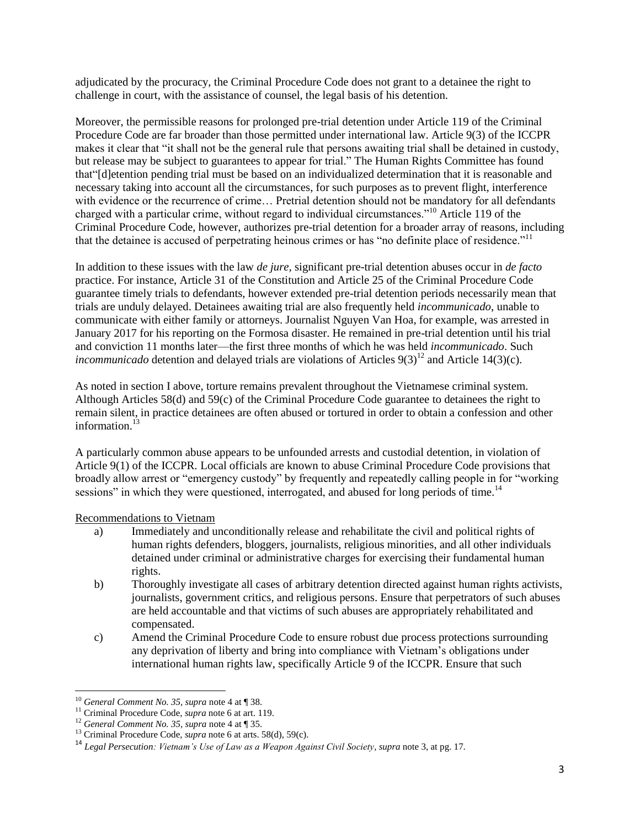adjudicated by the procuracy, the Criminal Procedure Code does not grant to a detainee the right to challenge in court, with the assistance of counsel, the legal basis of his detention.

Moreover, the permissible reasons for prolonged pre-trial detention under Article 119 of the Criminal Procedure Code are far broader than those permitted under international law. Article 9(3) of the ICCPR makes it clear that "it shall not be the general rule that persons awaiting trial shall be detained in custody, but release may be subject to guarantees to appear for trial." The Human Rights Committee has found that"[d]etention pending trial must be based on an individualized determination that it is reasonable and necessary taking into account all the circumstances, for such purposes as to prevent flight, interference with evidence or the recurrence of crime… Pretrial detention should not be mandatory for all defendants charged with a particular crime, without regard to individual circumstances."<sup>10</sup> Article 119 of the Criminal Procedure Code, however, authorizes pre-trial detention for a broader array of reasons, including that the detainee is accused of perpetrating heinous crimes or has "no definite place of residence."<sup>11</sup>

In addition to these issues with the law *de jure,* significant pre-trial detention abuses occur in *de facto* practice. For instance, Article 31 of the Constitution and Article 25 of the Criminal Procedure Code guarantee timely trials to defendants, however extended pre-trial detention periods necessarily mean that trials are unduly delayed. Detainees awaiting trial are also frequently held *incommunicado*, unable to communicate with either family or attorneys. Journalist Nguyen Van Hoa, for example, was arrested in January 2017 for his reporting on the Formosa disaster. He remained in pre-trial detention until his trial and conviction 11 months later—the first three months of which he was held *incommunicado*. Such *incommunicado* detention and delayed trials are violations of Articles  $9(3)^{12}$  and Article 14(3)(c).

As noted in section I above, torture remains prevalent throughout the Vietnamese criminal system. Although Articles 58(d) and 59(c) of the Criminal Procedure Code guarantee to detainees the right to remain silent, in practice detainees are often abused or tortured in order to obtain a confession and other information.<sup>13</sup>

A particularly common abuse appears to be unfounded arrests and custodial detention, in violation of Article 9(1) of the ICCPR. Local officials are known to abuse Criminal Procedure Code provisions that broadly allow arrest or "emergency custody" by frequently and repeatedly calling people in for "working sessions" in which they were questioned, interrogated, and abused for long periods of time.<sup>14</sup>

### Recommendations to Vietnam

- a) Immediately and unconditionally release and rehabilitate the civil and political rights of human rights defenders, bloggers, journalists, religious minorities, and all other individuals detained under criminal or administrative charges for exercising their fundamental human rights.
- b) Thoroughly investigate all cases of arbitrary detention directed against human rights activists, journalists, government critics, and religious persons. Ensure that perpetrators of such abuses are held accountable and that victims of such abuses are appropriately rehabilitated and compensated.
- c) Amend the Criminal Procedure Code to ensure robust due process protections surrounding any deprivation of liberty and bring into compliance with Vietnam's obligations under international human rights law, specifically Article 9 of the ICCPR. Ensure that such

l <sup>10</sup> *General Comment No. 35, supra* note 4 at ¶ 38.

<sup>11</sup> Criminal Procedure Code, *supra* note 6 at art. 119.

<sup>12</sup> *General Comment No. 35, supra* note 4 at ¶ 35.

<sup>13</sup> Criminal Procedure Code, *supra* note 6 at arts. 58(d), 59(c).

<sup>14</sup> *Legal Persecution: Vietnam's Use of Law as a Weapon Against Civil Society, supra* note [3,](#page-0-0) at pg. 17.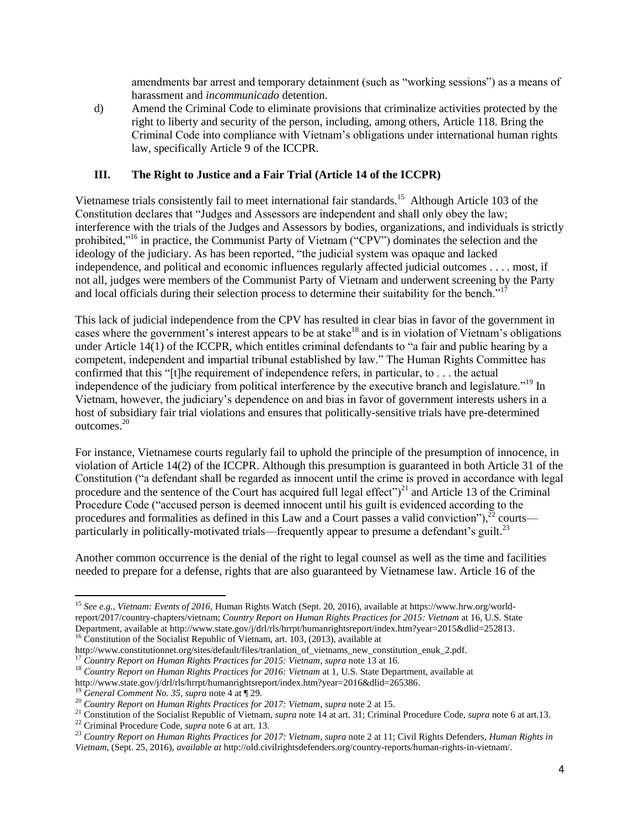amendments bar arrest and temporary detainment (such as "working sessions") as a means of harassment and *incommunicado* detention.

d) Amend the Criminal Code to eliminate provisions that criminalize activities protected by the right to liberty and security of the person, including, among others, Article 118. Bring the Criminal Code into compliance with Vietnam's obligations under international human rights law, specifically Article 9 of the ICCPR.

## **III. The Right to Justice and a Fair Trial (Article 14 of the ICCPR)**

Vietnamese trials consistently fail to meet international fair standards.<sup>15</sup> Although Article 103 of the Constitution declares that "Judges and Assessors are independent and shall only obey the law; interference with the trials of the Judges and Assessors by bodies, organizations, and individuals is strictly prohibited,"<sup>16</sup> in practice, the Communist Party of Vietnam ("CPV") dominates the selection and the ideology of the judiciary. As has been reported, "the judicial system was opaque and lacked independence, and political and economic influences regularly affected judicial outcomes . . . . most, if not all, judges were members of the Communist Party of Vietnam and underwent screening by the Party and local officials during their selection process to determine their suitability for the bench."<sup>17</sup>

This lack of judicial independence from the CPV has resulted in clear bias in favor of the government in cases where the government's interest appears to be at stake<sup>18</sup> and is in violation of Vietnam's obligations under Article 14(1) of the ICCPR, which entitles criminal defendants to "a fair and public hearing by a competent, independent and impartial tribunal established by law." The Human Rights Committee has confirmed that this "[t]he requirement of independence refers, in particular, to . . . the actual independence of the judiciary from political interference by the executive branch and legislature."<sup>19</sup> In Vietnam, however, the judiciary's dependence on and bias in favor of government interests ushers in a host of subsidiary fair trial violations and ensures that politically-sensitive trials have pre-determined outcomes.<sup>20</sup>

For instance, Vietnamese courts regularly fail to uphold the principle of the presumption of innocence, in violation of Article 14(2) of the ICCPR. Although this presumption is guaranteed in both Article 31 of the Constitution ("a defendant shall be regarded as innocent until the crime is proved in accordance with legal procedure and the sentence of the Court has acquired full legal effect" $)^{21}$  and Article 13 of the Criminal Procedure Code ("accused person is deemed innocent until his guilt is evidenced according to the procedures and formalities as defined in this Law and a Court passes a valid conviction"), $^{22}$  courts particularly in politically-motivated trials—frequently appear to presume a defendant's guilt.<sup>23</sup>

Another common occurrence is the denial of the right to legal counsel as well as the time and facilities needed to prepare for a defense, rights that are also guaranteed by Vietnamese law. Article 16 of the

 $\overline{a}$ <sup>15</sup> *See e.g., Vietnam: Events of 2016,* Human Rights Watch (Sept. 20, 2016), available at https://www.hrw.org/worldreport/2017/country-chapters/vietnam; *Country Report on Human Rights Practices for 2015: Vietnam* at 16, U.S. State Department, available at http://www.state.gov/j/drl/rls/hrrpt/humanrightsreport/index.htm?year=2015&dlid=252813. <sup>16</sup> Constitution of the Socialist Republic of Vietnam, art. 103, (2013), available at

http://www.constitutionnet.org/sites/default/files/tranlation\_of\_vietnams\_new\_constitution\_enuk\_2.pdf.

<sup>17</sup> *Country Report on Human Rights Practices for 2015: Vietnam*, *supra* note 13 at 16.

<sup>&</sup>lt;sup>18</sup> Country Report on Human Rights Practices for 2016: Vietnam at 1, U.S. State Department, available at

http://www.state.gov/j/drl/rls/hrrpt/humanrightsreport/index.htm?year=2016&dlid=265386.

<sup>19</sup> *General Comment No. 35, supra* note 4 at ¶ 29.

<sup>20</sup> *Country Report on Human Rights Practices for 2017: Vietnam*, *supra* note 2 at 15.

<sup>21</sup> Constitution of the Socialist Republic of Vietnam, *supra* note 14 at art. 31; Criminal Procedure Code, *supra* note 6 at art.13.

<sup>22</sup> Criminal Procedure Code, *supra* note 6 at art. 13.

<sup>23</sup> *Country Report on Human Rights Practices for 2017: Vietnam*, *supra* note 2 at 11; Civil Rights Defenders, *Human Rights in Vietnam*, (Sept. 25, 2016), *available at* http://old.civilrightsdefenders.org/country-reports/human-rights-in-vietnam/.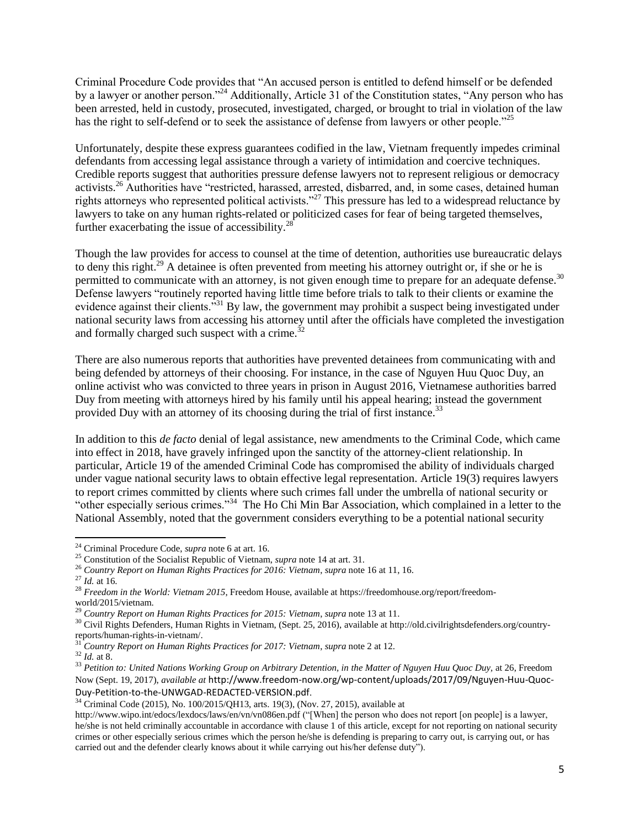Criminal Procedure Code provides that "An accused person is entitled to defend himself or be defended by a lawyer or another person."<sup>24</sup> Additionally, Article 31 of the Constitution states, "Any person who has been arrested, held in custody, prosecuted, investigated, charged, or brought to trial in violation of the law has the right to self-defend or to seek the assistance of defense from lawyers or other people."<sup>25</sup>

Unfortunately, despite these express guarantees codified in the law, Vietnam frequently impedes criminal defendants from accessing legal assistance through a variety of intimidation and coercive techniques. Credible reports suggest that authorities pressure defense lawyers not to represent religious or democracy activists.<sup>26</sup> Authorities have "restricted, harassed, arrested, disbarred, and, in some cases, detained human rights attorneys who represented political activists."<sup>27</sup> This pressure has led to a widespread reluctance by lawyers to take on any human rights-related or politicized cases for fear of being targeted themselves, further exacerbating the issue of accessibility. $^{28}$ 

Though the law provides for access to counsel at the time of detention, authorities use bureaucratic delays to deny this right.<sup>29</sup> A detainee is often prevented from meeting his attorney outright or, if she or he is permitted to communicate with an attorney, is not given enough time to prepare for an adequate defense.<sup>30</sup> Defense lawyers "routinely reported having little time before trials to talk to their clients or examine the evidence against their clients.<sup>331</sup> By law, the government may prohibit a suspect being investigated under national security laws from accessing his attorney until after the officials have completed the investigation and formally charged such suspect with a crime.<sup>32</sup>

There are also numerous reports that authorities have prevented detainees from communicating with and being defended by attorneys of their choosing. For instance, in the case of Nguyen Huu Quoc Duy, an online activist who was convicted to three years in prison in August 2016, Vietnamese authorities barred Duy from meeting with attorneys hired by his family until his appeal hearing; instead the government provided Duy with an attorney of its choosing during the trial of first instance.<sup>33</sup>

In addition to this *de facto* denial of legal assistance, new amendments to the Criminal Code, which came into effect in 2018, have gravely infringed upon the sanctity of the attorney-client relationship. In particular, Article 19 of the amended Criminal Code has compromised the ability of individuals charged under vague national security laws to obtain effective legal representation. Article 19(3) requires lawyers to report crimes committed by clients where such crimes fall under the umbrella of national security or "other especially serious crimes."<sup>34</sup> The Ho Chi Min Bar Association, which complained in a letter to the National Assembly, noted that the government considers everything to be a potential national security

<sup>24</sup> Criminal Procedure Code, *supra* note 6 at art. 16.

<sup>25</sup> Constitution of the Socialist Republic of Vietnam, *supra* note 14 at art. 31.

<sup>26</sup> *Country Report on Human Rights Practices for 2016: Vietnam*, *supra* note 16 at 11, 16.

<sup>27</sup> *Id.* at 16.

<sup>28</sup> *Freedom in the World: Vietnam 2015*, Freedom House, available at https://freedomhouse.org/report/freedomworld/2015/vietnam.

<sup>29</sup> *Country Report on Human Rights Practices for 2015: Vietnam*, *supra* note 13 at 11.

<sup>&</sup>lt;sup>30</sup> Civil Rights Defenders, Human Rights in Vietnam, (Sept. 25, 2016), available at http://old.civilrightsdefenders.org/countryreports/human-rights-in-vietnam/.

<sup>31</sup> *Country Report on Human Rights Practices for 2017: Vietnam*, *supra* note 2 at 12.

<sup>32</sup> *Id.* at 8.

<sup>33</sup> *Petition to: United Nations Working Group on Arbitrary Detention, in the Matter of Nguyen Huu Quoc Duy,* at 26, Freedom Now (Sept. 19, 2017), *available at* http://www.freedom-now.org/wp-content/uploads/2017/09/Nguyen-Huu-Quoc-Duy-Petition-to-the-UNWGAD-REDACTED-VERSION.pdf.

<sup>34</sup> Criminal Code (2015), No. 100/2015/QH13, arts. 19(3), (Nov. 27, 2015), available at

http://www.wipo.int/edocs/lexdocs/laws/en/vn/vn086en.pdf ("[When] the person who does not report [on people] is a lawyer, he/she is not held criminally accountable in accordance with clause 1 of this article, except for not reporting on national security crimes or other especially serious crimes which the person he/she is defending is preparing to carry out, is carrying out, or has carried out and the defender clearly knows about it while carrying out his/her defense duty").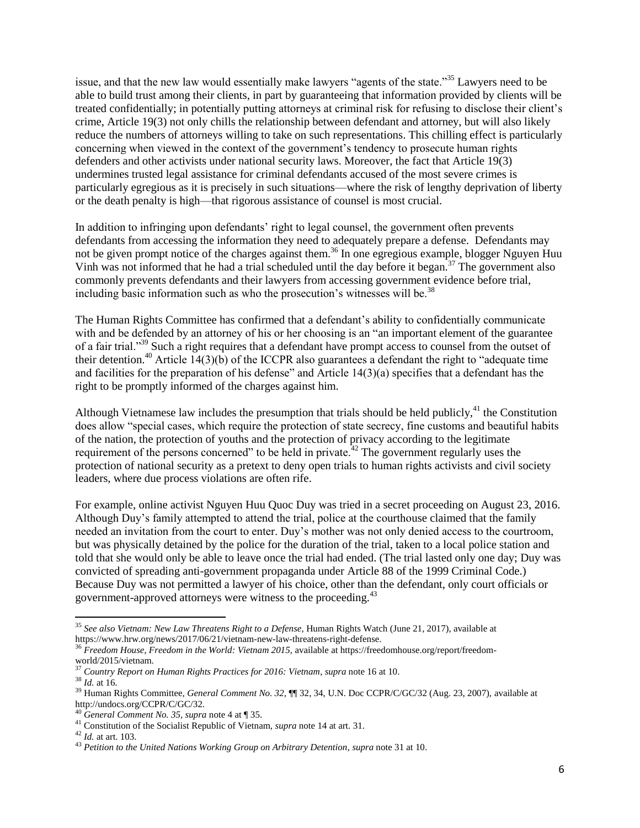issue, and that the new law would essentially make lawyers "agents of the state."<sup>35</sup> Lawyers need to be able to build trust among their clients, in part by guaranteeing that information provided by clients will be treated confidentially; in potentially putting attorneys at criminal risk for refusing to disclose their client's crime, Article 19(3) not only chills the relationship between defendant and attorney, but will also likely reduce the numbers of attorneys willing to take on such representations. This chilling effect is particularly concerning when viewed in the context of the government's tendency to prosecute human rights defenders and other activists under national security laws. Moreover, the fact that Article 19(3) undermines trusted legal assistance for criminal defendants accused of the most severe crimes is particularly egregious as it is precisely in such situations—where the risk of lengthy deprivation of liberty or the death penalty is high—that rigorous assistance of counsel is most crucial.

In addition to infringing upon defendants' right to legal counsel, the government often prevents defendants from accessing the information they need to adequately prepare a defense. Defendants may not be given prompt notice of the charges against them.<sup>36</sup> In one egregious example, blogger Nguyen Huu Vinh was not informed that he had a trial scheduled until the day before it began.<sup>37</sup> The government also commonly prevents defendants and their lawyers from accessing government evidence before trial, including basic information such as who the prosecution's witnesses will be.<sup>38</sup>

The Human Rights Committee has confirmed that a defendant's ability to confidentially communicate with and be defended by an attorney of his or her choosing is an "an important element of the guarantee of a fair trial."<sup>39</sup> Such a right requires that a defendant have prompt access to counsel from the outset of their detention.<sup>40</sup> Article  $14(3)(b)$  of the ICCPR also guarantees a defendant the right to "adequate time" and facilities for the preparation of his defense" and Article 14(3)(a) specifies that a defendant has the right to be promptly informed of the charges against him.

Although Vietnamese law includes the presumption that trials should be held publicly,  $41$  the Constitution does allow "special cases, which require the protection of state secrecy, fine customs and beautiful habits of the nation, the protection of youths and the protection of privacy according to the legitimate requirement of the persons concerned" to be held in private.<sup>42</sup> The government regularly uses the protection of national security as a pretext to deny open trials to human rights activists and civil society leaders, where due process violations are often rife.

For example, online activist Nguyen Huu Quoc Duy was tried in a secret proceeding on August 23, 2016. Although Duy's family attempted to attend the trial, police at the courthouse claimed that the family needed an invitation from the court to enter. Duy's mother was not only denied access to the courtroom, but was physically detained by the police for the duration of the trial, taken to a local police station and told that she would only be able to leave once the trial had ended. (The trial lasted only one day; Duy was convicted of spreading anti-government propaganda under Article 88 of the 1999 Criminal Code.) Because Duy was not permitted a lawyer of his choice, other than the defendant, only court officials or government-approved attorneys were witness to the proceeding.<sup>43</sup>

<sup>35</sup> *See also Vietnam: New Law Threatens Right to a Defense*, Human Rights Watch (June 21, 2017), available at https://www.hrw.org/news/2017/06/21/vietnam-new-law-threatens-right-defense.

<sup>&</sup>lt;sup>36</sup> Freedom House, Freedom in the World: Vietnam 2015, available at https://freedomhouse.org/report/freedomworld/2015/vietnam.

<sup>37</sup> *Country Report on Human Rights Practices for 2016: Vietnam*, *supra* note 16 at 10.

<sup>38</sup> *Id.* at 16.

<sup>39</sup> Human Rights Committee, *General Comment No. 32,* ¶¶ 32, 34, U.N. Doc CCPR/C/GC/32 (Aug. 23, 2007), available at http://undocs.org/CCPR/C/GC/32.

<sup>40</sup> *General Comment No. 35, supra* note 4 at ¶ 35.

<sup>41</sup> Constitution of the Socialist Republic of Vietnam, *supra* note 14 at art. 31.

<sup>42</sup> *Id.* at art. 103.

<sup>43</sup> *Petition to the United Nations Working Group on Arbitrary Detention*, *supra* note 31 at 10.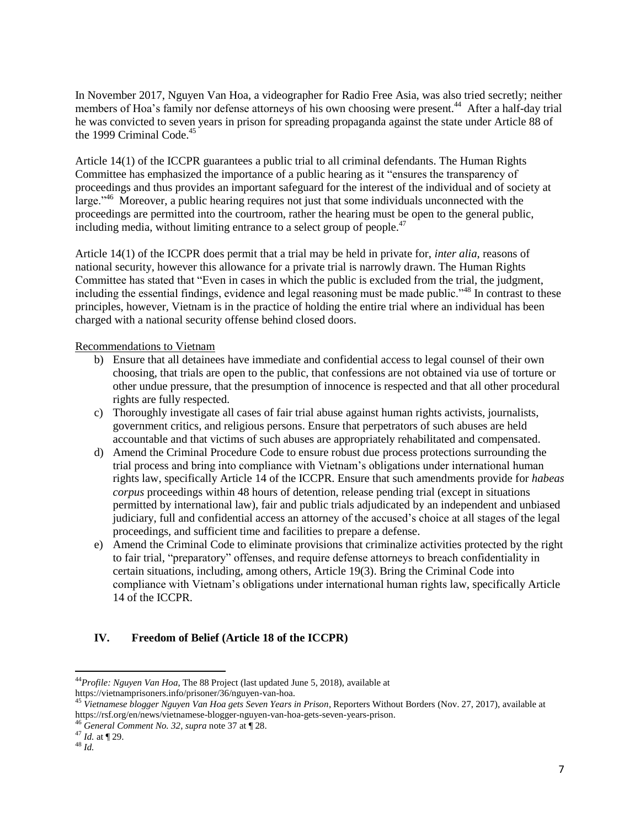In November 2017, Nguyen Van Hoa, a videographer for Radio Free Asia, was also tried secretly; neither members of Hoa's family nor defense attorneys of his own choosing were present.<sup>44</sup> After a half-day trial he was convicted to seven years in prison for spreading propaganda against the state under Article 88 of the 1999 Criminal Code. $45$ 

Article 14(1) of the ICCPR guarantees a public trial to all criminal defendants. The Human Rights Committee has emphasized the importance of a public hearing as it "ensures the transparency of proceedings and thus provides an important safeguard for the interest of the individual and of society at large."<sup>46</sup> Moreover, a public hearing requires not just that some individuals unconnected with the proceedings are permitted into the courtroom, rather the hearing must be open to the general public, including media, without limiting entrance to a select group of people. $47$ 

Article 14(1) of the ICCPR does permit that a trial may be held in private for, *inter alia*, reasons of national security, however this allowance for a private trial is narrowly drawn. The Human Rights Committee has stated that "Even in cases in which the public is excluded from the trial, the judgment, including the essential findings, evidence and legal reasoning must be made public."<sup>48</sup> In contrast to these principles, however, Vietnam is in the practice of holding the entire trial where an individual has been charged with a national security offense behind closed doors.

### Recommendations to Vietnam

- b) Ensure that all detainees have immediate and confidential access to legal counsel of their own choosing, that trials are open to the public, that confessions are not obtained via use of torture or other undue pressure, that the presumption of innocence is respected and that all other procedural rights are fully respected.
- c) Thoroughly investigate all cases of fair trial abuse against human rights activists, journalists, government critics, and religious persons. Ensure that perpetrators of such abuses are held accountable and that victims of such abuses are appropriately rehabilitated and compensated.
- d) Amend the Criminal Procedure Code to ensure robust due process protections surrounding the trial process and bring into compliance with Vietnam's obligations under international human rights law, specifically Article 14 of the ICCPR. Ensure that such amendments provide for *habeas corpus* proceedings within 48 hours of detention, release pending trial (except in situations permitted by international law), fair and public trials adjudicated by an independent and unbiased judiciary, full and confidential access an attorney of the accused's choice at all stages of the legal proceedings, and sufficient time and facilities to prepare a defense.
- e) Amend the Criminal Code to eliminate provisions that criminalize activities protected by the right to fair trial, "preparatory" offenses, and require defense attorneys to breach confidentiality in certain situations, including, among others, Article 19(3). Bring the Criminal Code into compliance with Vietnam's obligations under international human rights law, specifically Article 14 of the ICCPR.

# **IV. Freedom of Belief (Article 18 of the ICCPR)**

 $\overline{a}$ <sup>44</sup>*Profile: Nguyen Van Hoa*, The 88 Project (last updated June 5, 2018), available at

https://vietnamprisoners.info/prisoner/36/nguyen-van-hoa.

<sup>45</sup> *Vietnamese blogger Nguyen Van Hoa gets Seven Years in Prison*, Reporters Without Borders (Nov. 27, 2017), available at https://rsf.org/en/news/vietnamese-blogger-nguyen-van-hoa-gets-seven-years-prison.

<sup>46</sup> *General Comment No. 32*, *supra* note 37 at ¶ 28.

<sup>47</sup> *Id.* at ¶ 29.

<sup>48</sup> *Id.*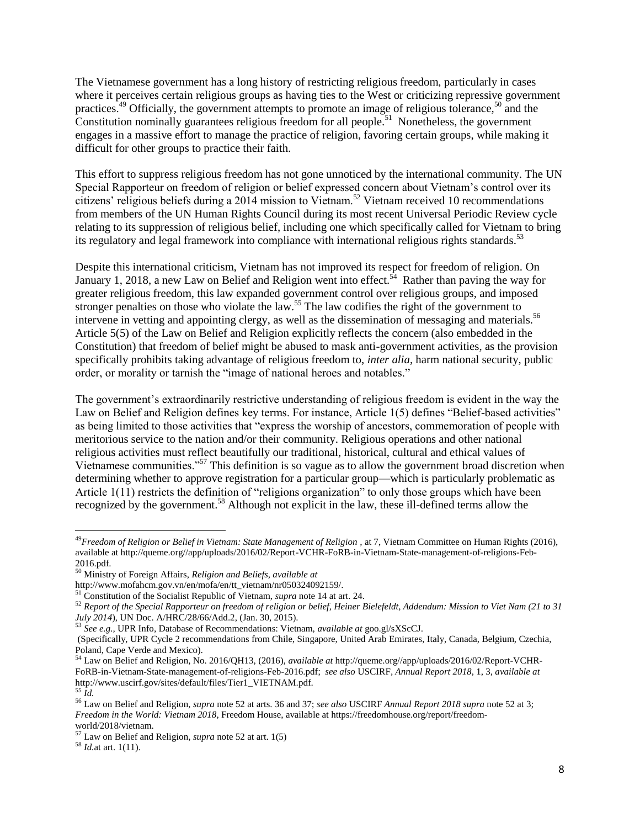The Vietnamese government has a long history of restricting religious freedom, particularly in cases where it perceives certain religious groups as having ties to the West or criticizing repressive government practices.<sup>49</sup> Officially, the government attempts to promote an image of religious tolerance,<sup>50</sup> and the Constitution nominally guarantees religious freedom for all people.<sup>51</sup> Nonetheless, the government engages in a massive effort to manage the practice of religion, favoring certain groups, while making it difficult for other groups to practice their faith.

This effort to suppress religious freedom has not gone unnoticed by the international community. The UN Special Rapporteur on freedom of religion or belief expressed concern about Vietnam's control over its citizens' religious beliefs during a 2014 mission to Vietnam.<sup>52</sup> Vietnam received 10 recommendations from members of the UN Human Rights Council during its most recent Universal Periodic Review cycle relating to its suppression of religious belief, including one which specifically called for Vietnam to bring its regulatory and legal framework into compliance with international religious rights standards.<sup>53</sup>

Despite this international criticism, Vietnam has not improved its respect for freedom of religion. On January 1, 2018, a new Law on Belief and Religion went into effect.<sup>54</sup> Rather than paving the way for greater religious freedom, this law expanded government control over religious groups, and imposed stronger penalties on those who violate the law.<sup>55</sup> The law codifies the right of the government to intervene in vetting and appointing clergy, as well as the dissemination of messaging and materials.<sup>56</sup> Article 5(5) of the Law on Belief and Religion explicitly reflects the concern (also embedded in the Constitution) that freedom of belief might be abused to mask anti-government activities, as the provision specifically prohibits taking advantage of religious freedom to, *inter alia*, harm national security, public order, or morality or tarnish the "image of national heroes and notables."

The government's extraordinarily restrictive understanding of religious freedom is evident in the way the Law on Belief and Religion defines key terms. For instance, Article 1(5) defines "Belief-based activities" as being limited to those activities that "express the worship of ancestors, commemoration of people with meritorious service to the nation and/or their community. Religious operations and other national religious activities must reflect beautifully our traditional, historical, cultural and ethical values of Vietnamese communities."<sup>57</sup> This definition is so vague as to allow the government broad discretion when determining whether to approve registration for a particular group—which is particularly problematic as Article 1(11) restricts the definition of "religions organization" to only those groups which have been recognized by the government.<sup>58</sup> Although not explicit in the law, these ill-defined terms allow the

<sup>&</sup>lt;sup>49</sup>*Freedom of Religion or Belief in Vietnam: State Management of Religion*, at 7, Vietnam Committee on Human Rights (2016), available at http://queme.org//app/uploads/2016/02/Report-VCHR-FoRB-in-Vietnam-State-management-of-religions-Feb-2016.pdf.

<sup>50</sup> Ministry of Foreign Affairs, *Religion and Beliefs, available at* 

http://www.mofahcm.gov.vn/en/mofa/en/tt\_vietnam/nr050324092159/.

<sup>51</sup> Constitution of the Socialist Republic of Vietnam, *supra* note 14 at art. 24.

<sup>52</sup> *Report of the Special Rapporteur on freedom of religion or belief, Heiner Bielefeldt, Addendum: Mission to Viet Nam (21 to 31 July 2014*), UN Doc. A/HRC/28/66/Add.2, (Jan. 30, 2015).

<sup>53</sup> *See e.g.,* UPR Info, Database of Recommendations: Vietnam, *available at* goo.gl/sXScCJ.

<sup>(</sup>Specifically, UPR Cycle 2 recommendations from Chile, Singapore, United Arab Emirates, Italy, Canada, Belgium, Czechia, Poland, Cape Verde and Mexico)*.*

<sup>54</sup> Law on Belief and Religion, No. 2016/QH13, (2016), *available at* [http://queme.org//app/uploads/2016/02/Report-VCHR-](http://queme.org/app/uploads/2016/02/Report-VCHR-FoRB-in-Vietnam-State-management-of-religions-Feb-2016.pdf)[FoRB-in-Vietnam-State-management-of-religions-Feb-2016.pdf;](http://queme.org/app/uploads/2016/02/Report-VCHR-FoRB-in-Vietnam-State-management-of-religions-Feb-2016.pdf) *see also* USCIRF*, Annual Report 2018*, 1, 3, *available at*  http://www.uscirf.gov/sites/default/files/Tier1\_VIETNAM.pdf. <sup>55</sup> *Id.*

<sup>56</sup> Law on Belief and Religion, *supra* note 52 at arts. 36 and 37; *see also* USCIRF *Annual Report 2018 supra* note 52 at 3; *Freedom in the World: Vietnam 2018*, Freedom House, available at https://freedomhouse.org/report/freedomworld/2018/vietnam.

<sup>57</sup> Law on Belief and Religion, *supra* note 52 at art. 1(5)

<sup>58</sup> *Id.*at art. 1(11).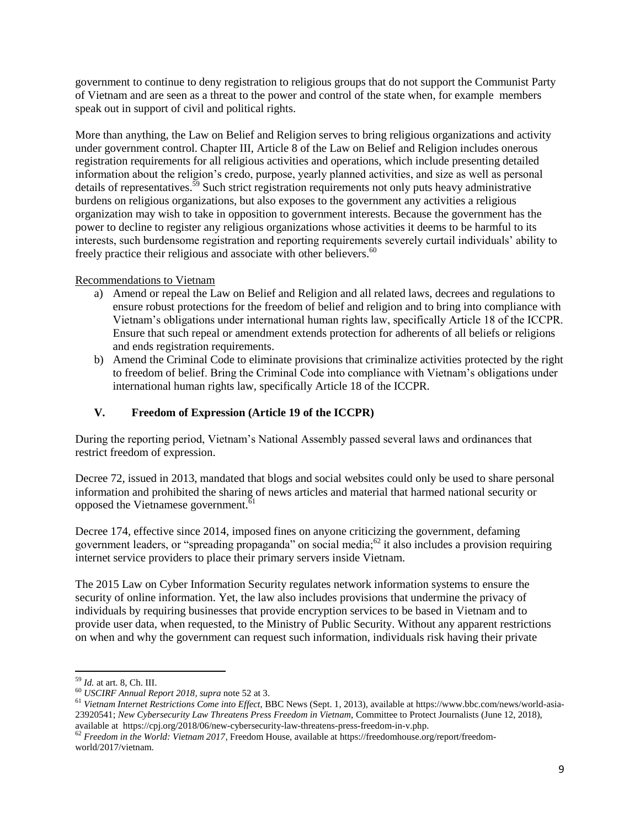government to continue to deny registration to religious groups that do not support the Communist Party of Vietnam and are seen as a threat to the power and control of the state when, for example members speak out in support of civil and political rights.

More than anything, the Law on Belief and Religion serves to bring religious organizations and activity under government control. Chapter III, Article 8 of the Law on Belief and Religion includes onerous registration requirements for all religious activities and operations, which include presenting detailed information about the religion's credo, purpose, yearly planned activities, and size as well as personal details of representatives.<sup>59</sup> Such strict registration requirements not only puts heavy administrative burdens on religious organizations, but also exposes to the government any activities a religious organization may wish to take in opposition to government interests. Because the government has the power to decline to register any religious organizations whose activities it deems to be harmful to its interests, such burdensome registration and reporting requirements severely curtail individuals' ability to freely practice their religious and associate with other believers.<sup>60</sup>

## Recommendations to Vietnam

- a) Amend or repeal the Law on Belief and Religion and all related laws, decrees and regulations to ensure robust protections for the freedom of belief and religion and to bring into compliance with Vietnam's obligations under international human rights law, specifically Article 18 of the ICCPR. Ensure that such repeal or amendment extends protection for adherents of all beliefs or religions and ends registration requirements.
- b) Amend the Criminal Code to eliminate provisions that criminalize activities protected by the right to freedom of belief. Bring the Criminal Code into compliance with Vietnam's obligations under international human rights law, specifically Article 18 of the ICCPR.

# **V. Freedom of Expression (Article 19 of the ICCPR)**

During the reporting period, Vietnam's National Assembly passed several laws and ordinances that restrict freedom of expression.

Decree 72, issued in 2013, mandated that blogs and social websites could only be used to share personal information and prohibited the sharing of news articles and material that harmed national security or opposed the Vietnamese government.<sup>61</sup>

Decree 174, effective since 2014, imposed fines on anyone criticizing the government, defaming government leaders, or "spreading propaganda" on social media; $^{62}$  it also includes a provision requiring internet service providers to place their primary servers inside Vietnam.

The 2015 Law on Cyber Information Security regulates network information systems to ensure the security of online information. Yet, the law also includes provisions that undermine the privacy of individuals by requiring businesses that provide encryption services to be based in Vietnam and to provide user data, when requested, to the Ministry of Public Security. Without any apparent restrictions on when and why the government can request such information, individuals risk having their private

<sup>59</sup> *Id.* at art. 8, Ch. III.

<sup>60</sup> *USCIRF Annual Report 2018, supra* note 52 at 3.

<sup>61</sup> *Vietnam Internet Restrictions Come into Effect*, BBC News (Sept. 1, 2013), available at https://www.bbc.com/news/world-asia-23920541; *New Cybersecurity Law Threatens Press Freedom in Vietnam,* Committee to Protect Journalists (June 12, 2018), available athttps://cpj.org/2018/06/new-cybersecurity-law-threatens-press-freedom-in-v.php.

<sup>62</sup> *Freedom in the World: Vietnam 2017,* Freedom House, available at https://freedomhouse.org/report/freedomworld/2017/vietnam.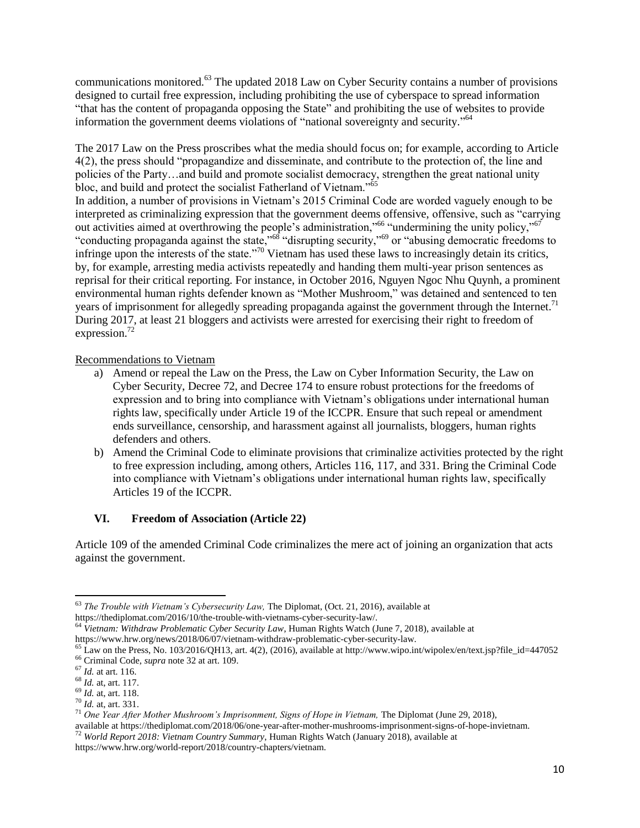communications monitored.<sup>63</sup> The updated 2018 Law on Cyber Security contains a number of provisions designed to curtail free expression, including prohibiting the use of cyberspace to spread information "that has the content of propaganda opposing the State" and prohibiting the use of websites to provide information the government deems violations of "national sovereignty and security." 64

The 2017 Law on the Press proscribes what the media should focus on; for example, according to Article 4(2), the press should "propagandize and disseminate, and contribute to the protection of, the line and policies of the Party…and build and promote socialist democracy, strengthen the great national unity bloc, and build and protect the socialist Fatherland of Vietnam."<sup>65</sup>

In addition, a number of provisions in Vietnam's 2015 Criminal Code are worded vaguely enough to be interpreted as criminalizing expression that the government deems offensive, offensive, such as "carrying out activities aimed at overthrowing the people's administration,"<sup>66</sup> "undermining the unity policy,"<sup>67</sup> "conducting propaganda against the state,"<sup>68</sup> "disrupting security,"<sup>69</sup> or "abusing democratic freedoms to infringe upon the interests of the state."<sup>70</sup> Vietnam has used these laws to increasingly detain its critics, by, for example, arresting media activists repeatedly and handing them multi-year prison sentences as reprisal for their critical reporting. For instance, in October 2016, Nguyen Ngoc Nhu Quynh, a prominent environmental human rights defender known as "Mother Mushroom," was detained and sentenced to ten years of imprisonment for allegedly spreading propaganda against the government through the Internet.<sup>71</sup> During 2017, at least 21 bloggers and activists were arrested for exercising their right to freedom of expression. 72

Recommendations to Vietnam

- a) Amend or repeal the Law on the Press, the Law on Cyber Information Security, the Law on Cyber Security, Decree 72, and Decree 174 to ensure robust protections for the freedoms of expression and to bring into compliance with Vietnam's obligations under international human rights law, specifically under Article 19 of the ICCPR. Ensure that such repeal or amendment ends surveillance, censorship, and harassment against all journalists, bloggers, human rights defenders and others.
- b) Amend the Criminal Code to eliminate provisions that criminalize activities protected by the right to free expression including, among others, Articles 116, 117, and 331. Bring the Criminal Code into compliance with Vietnam's obligations under international human rights law, specifically Articles 19 of the ICCPR.

### **VI. Freedom of Association (Article 22)**

Article 109 of the amended Criminal Code criminalizes the mere act of joining an organization that acts against the government.

<sup>63</sup> *The Trouble with Vietnam's Cybersecurity Law,* The Diplomat, (Oct. 21, 2016)*,* available at

https://thediplomat.com/2016/10/the-trouble-with-vietnams-cyber-security-law/.

<sup>64</sup> *Vietnam: Withdraw Problematic Cyber Security Law*, Human Rights Watch (June 7, 2018), available at

https://www.hrw.org/news/2018/06/07/vietnam-withdraw-problematic-cyber-security-law.

<sup>&</sup>lt;sup>65</sup> Law on the Press, No. 103/2016/QH13, art. 4(2), (2016), available at http://www.wipo.int/wipolex/en/text.jsp?file\_id=447052 <sup>66</sup> Criminal Code, *supra* note 32 at art. 109.

<sup>67</sup> *Id.* at art. 116.

<sup>68</sup> *Id.* at, art. 117.

<sup>69</sup> *Id.* at, art. 118.

<sup>70</sup> *Id.* at, art. 331.

<sup>71</sup> *One Year After Mother Mushroom's Imprisonment, Signs of Hope in Vietnam,* The Diplomat (June 29, 2018),

available at https://thediplomat.com/2018/06/one-year-after-mother-mushrooms-imprisonment-signs-of-hope-invietnam. <sup>72</sup> *World Report 2018: Vietnam Country Summary*, Human Rights Watch (January 2018), available at

https://www.hrw.org/world-report/2018/country-chapters/vietnam.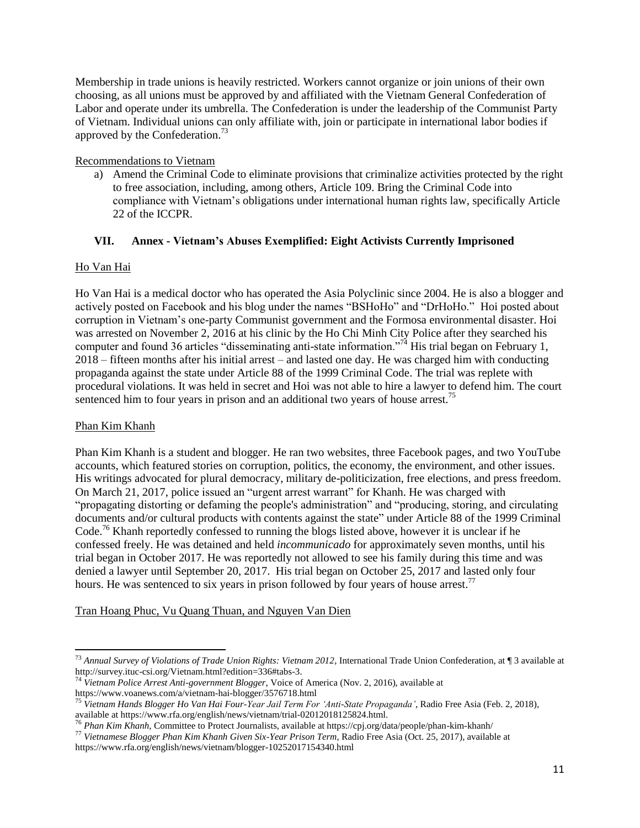Membership in trade unions is heavily restricted. Workers cannot organize or join unions of their own choosing, as all unions must be approved by and affiliated with the Vietnam General Confederation of Labor and operate under its umbrella. The Confederation is under the leadership of the Communist Party of Vietnam. Individual unions can only affiliate with, join or participate in international labor bodies if approved by the Confederation.<sup>73</sup>

## Recommendations to Vietnam

a) Amend the Criminal Code to eliminate provisions that criminalize activities protected by the right to free association, including, among others, Article 109. Bring the Criminal Code into compliance with Vietnam's obligations under international human rights law, specifically Article 22 of the ICCPR.

# **VII. Annex - Vietnam's Abuses Exemplified: Eight Activists Currently Imprisoned**

# Ho Van Hai

Ho Van Hai is a medical doctor who has operated the Asia Polyclinic since 2004. He is also a blogger and actively posted on Facebook and his blog under the names "BSHoHo" and "DrHoHo." Hoi posted about corruption in Vietnam's one-party Communist government and the Formosa environmental disaster. Hoi was arrested on November 2, 2016 at his clinic by the Ho Chi Minh City Police after they searched his computer and found 36 articles "disseminating anti-state information."<sup>74</sup> His trial began on February 1, 2018 – fifteen months after his initial arrest – and lasted one day. He was charged him with conducting propaganda against the state under Article 88 of the 1999 Criminal Code. The trial was replete with procedural violations. It was held in secret and Hoi was not able to hire a lawyer to defend him. The court sentenced him to four years in prison and an additional two years of house arrest.<sup>75</sup>

# Phan Kim Khanh

 $\overline{\phantom{a}}$ 

Phan Kim Khanh is a student and blogger. He ran two websites, three Facebook pages, and two YouTube accounts, which featured stories on corruption, politics, the economy, the environment, and other issues. His writings advocated for plural democracy, military de-politicization, free elections, and press freedom. On March 21, 2017, police issued an "urgent arrest warrant" for Khanh. He was charged with "propagating distorting or defaming the people's administration" and "producing, storing, and circulating documents and/or cultural products with contents against the state" under Article 88 of the 1999 Criminal Code.<sup>76</sup> Khanh reportedly confessed to running the blogs listed above, however it is unclear if he confessed freely. He was detained and held *incommunicado* for approximately seven months, until his trial began in October 2017. He was reportedly not allowed to see his family during this time and was denied a lawyer until September 20, 2017. His trial began on October 25, 2017 and lasted only four hours. He was sentenced to six years in prison followed by four years of house arrest.<sup>77</sup>

Tran Hoang Phuc, Vu Quang Thuan, and Nguyen Van Dien

<sup>73</sup> *Annual Survey of Violations of Trade Union Rights: Vietnam 2012*, International Trade Union Confederation, at ¶ 3 available at http://survey.ituc-csi.org/Vietnam.html?edition=336#tabs-3.

<sup>74</sup> *Vietnam Police Arrest Anti-government Blogger*, Voice of America (Nov. 2, 2016), available at https://www.voanews.com/a/vietnam-hai-blogger/3576718.html

<sup>75</sup> *Vietnam Hands Blogger Ho Van Hai Four-Year Jail Term For 'Anti-State Propaganda'*, Radio Free Asia (Feb. 2, 2018), available at https://www.rfa.org/english/news/vietnam/trial-02012018125824.html.

<sup>76</sup> *Phan Kim Khanh*, Committee to Protect Journalists, available at https://cpj.org/data/people/phan-kim-khanh/

<sup>77</sup> *Vietnamese Blogger Phan Kim Khanh Given Six-Year Prison Term*, Radio Free Asia (Oct. 25, 2017), available at https://www.rfa.org/english/news/vietnam/blogger-10252017154340.html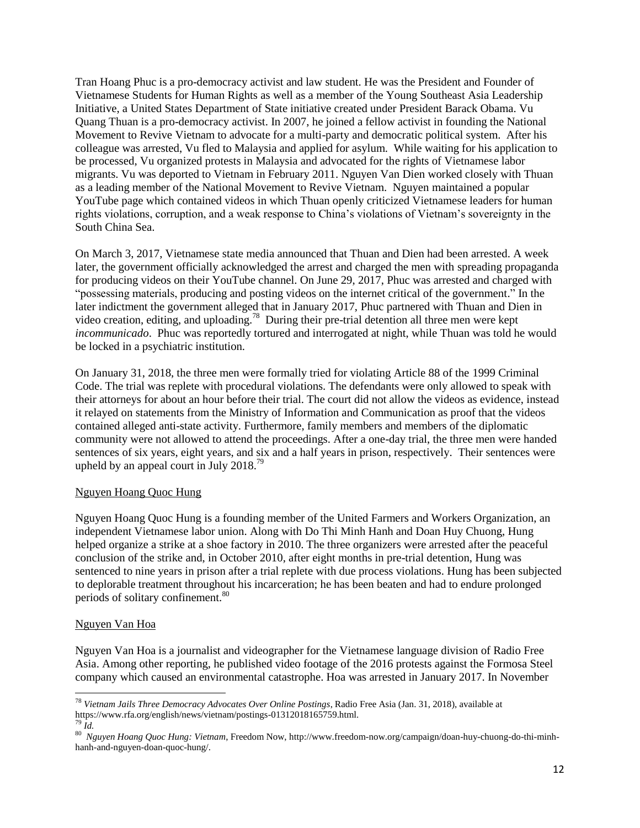Tran Hoang Phuc is a pro-democracy activist and law student. He was the President and Founder of Vietnamese Students for Human Rights as well as a member of the Young Southeast Asia Leadership Initiative, a United States Department of State initiative created under President Barack Obama. Vu Quang Thuan is a pro-democracy activist. In 2007, he joined a fellow activist in founding the National Movement to Revive Vietnam to advocate for a multi-party and democratic political system. After his colleague was arrested, Vu fled to Malaysia and applied for asylum. While waiting for his application to be processed, Vu organized protests in Malaysia and advocated for the rights of Vietnamese labor migrants. Vu was deported to Vietnam in February 2011. Nguyen Van Dien worked closely with Thuan as a leading member of the National Movement to Revive Vietnam. Nguyen maintained a popular YouTube page which contained videos in which Thuan openly criticized Vietnamese leaders for human rights violations, corruption, and a weak response to China's violations of Vietnam's sovereignty in the South China Sea.

On March 3, 2017, Vietnamese state media announced that Thuan and Dien had been arrested. A week later, the government officially acknowledged the arrest and charged the men with spreading propaganda for producing videos on their YouTube channel. On June 29, 2017, Phuc was arrested and charged with "possessing materials, producing and posting videos on the internet critical of the government." In the later indictment the government alleged that in January 2017, Phuc partnered with Thuan and Dien in video creation, editing, and uploading.<sup>78</sup> During their pre-trial detention all three men were kept *incommunicado*. Phuc was reportedly tortured and interrogated at night, while Thuan was told he would be locked in a psychiatric institution.

On January 31, 2018, the three men were formally tried for violating Article 88 of the 1999 Criminal Code. The trial was replete with procedural violations. The defendants were only allowed to speak with their attorneys for about an hour before their trial. The court did not allow the videos as evidence, instead it relayed on statements from the Ministry of Information and Communication as proof that the videos contained alleged anti-state activity. Furthermore, family members and members of the diplomatic community were not allowed to attend the proceedings. After a one-day trial, the three men were handed sentences of six years, eight years, and six and a half years in prison, respectively. Their sentences were upheld by an appeal court in July  $2018.^{79}$ 

### Nguyen Hoang Quoc Hung

Nguyen Hoang Quoc Hung is a founding member of the United Farmers and Workers Organization, an independent Vietnamese labor union. Along with Do Thi Minh Hanh and Doan Huy Chuong, Hung helped organize a strike at a shoe factory in 2010. The three organizers were arrested after the peaceful conclusion of the strike and, in October 2010, after eight months in pre-trial detention, Hung was sentenced to nine years in prison after a trial replete with due process violations. Hung has been subjected to deplorable treatment throughout his incarceration; he has been beaten and had to endure prolonged periods of solitary confinement.<sup>80</sup>

### Nguyen Van Hoa

l

Nguyen Van Hoa is a journalist and videographer for the Vietnamese language division of Radio Free Asia. Among other reporting, he published video footage of the 2016 protests against the Formosa Steel company which caused an environmental catastrophe. Hoa was arrested in January 2017. In November

<sup>78</sup> *Vietnam Jails Three Democracy Advocates Over Online Postings*, Radio Free Asia (Jan. 31, 2018), available at https://www.rfa.org/english/news/vietnam/postings-01312018165759.html.  $\partial^9$  *Id.* 

<sup>80</sup> *Nguyen Hoang Quoc Hung: Vietnam*, Freedom Now, http://www.freedom-now.org/campaign/doan-huy-chuong-do-thi-minhhanh-and-nguyen-doan-quoc-hung/.